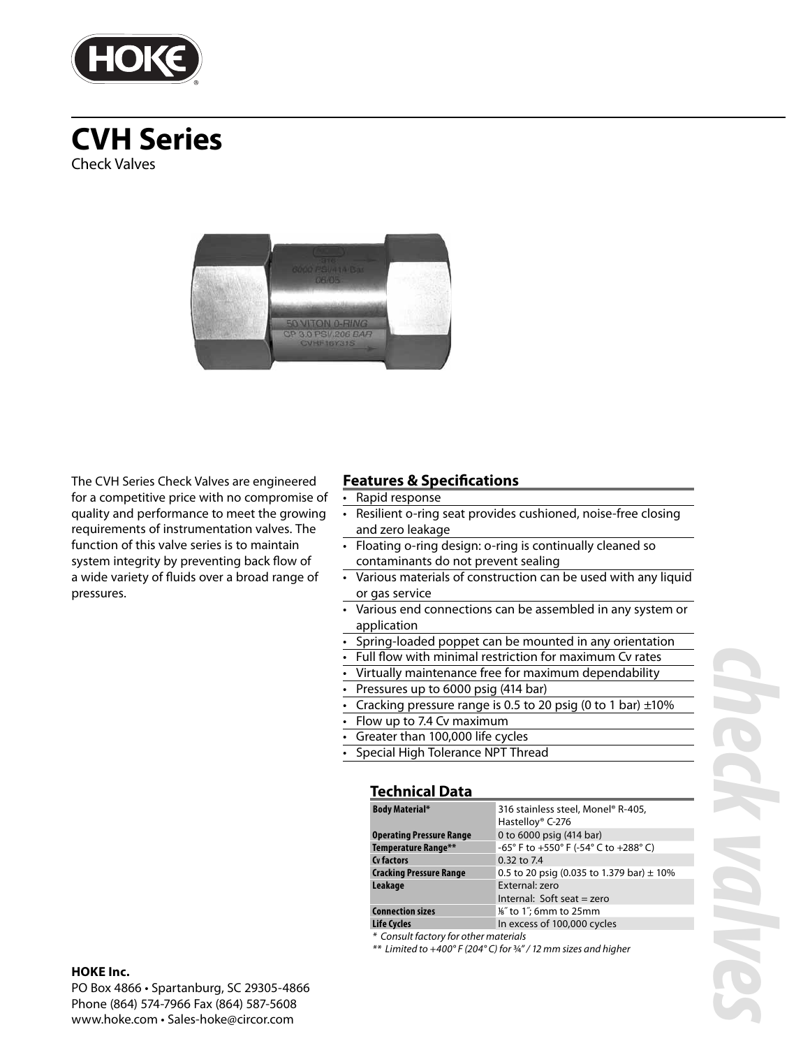

# **CVH Series** Check Valves



The CVH Series Check Valves are engineered for a competitive price with no compromise of quality and performance to meet the growing requirements of instrumentation valves. The function of this valve series is to maintain system integrity by preventing back flow of a wide variety of fluids over a broad range of pressures.

### **Features & Specifications**

### • Rapid response

- Resilient o-ring seat provides cushioned, noise-free closing and zero leakage
- Floating o-ring design: o-ring is continually cleaned so contaminants do not prevent sealing
- Various materials of construction can be used with any liquid or gas service
- Various end connections can be assembled in any system or application
- Spring-loaded poppet can be mounted in any orientation
- Full flow with minimal restriction for maximum Cv rates
	- Virtually maintenance free for maximum dependability
- Pressures up to 6000 psig (414 bar)
- Cracking pressure range is 0.5 to 20  $\overline{psig}$  (0 to 1 bar)  $\pm 10\%$
- Flow up to 7.4 Cv maximum
- Greater than 100,000 life cycles
- Special High Tolerance NPT Thread

### **Technical Data**

| <b>Body Material*</b>           | 316 stainless steel, Monel® R-405,<br>Hastelloy® C-276 |  |  |  |  |  |
|---------------------------------|--------------------------------------------------------|--|--|--|--|--|
| <b>Operating Pressure Range</b> | 0 to 6000 psig (414 bar)                               |  |  |  |  |  |
| Temperature Range**             | -65° F to +550° F (-54° C to +288° C)                  |  |  |  |  |  |
| Cy factors                      | 0.32 to 7.4                                            |  |  |  |  |  |
| <b>Cracking Pressure Range</b>  | 0.5 to 20 psig (0.035 to 1.379 bar) $\pm$ 10%          |  |  |  |  |  |
| Leakage                         | External: zero                                         |  |  |  |  |  |
|                                 | Internal: Soft seat $=$ zero                           |  |  |  |  |  |
| <b>Connection sizes</b>         | %" to 1"; 6mm to 25mm                                  |  |  |  |  |  |
| <b>Life Cycles</b>              | In excess of 100,000 cycles                            |  |  |  |  |  |

\* Consult factory for other materials

\*\* Limited to +400° F (204° C) for ¾" / 12 mm sizes and higher

# *check valves*

### **HOKE Inc.**

PO Box 4866 • Spartanburg, SC 29305-4866 Phone (864) 574-7966 Fax (864) 587-5608 www.hoke.com • Sales-hoke@circor.com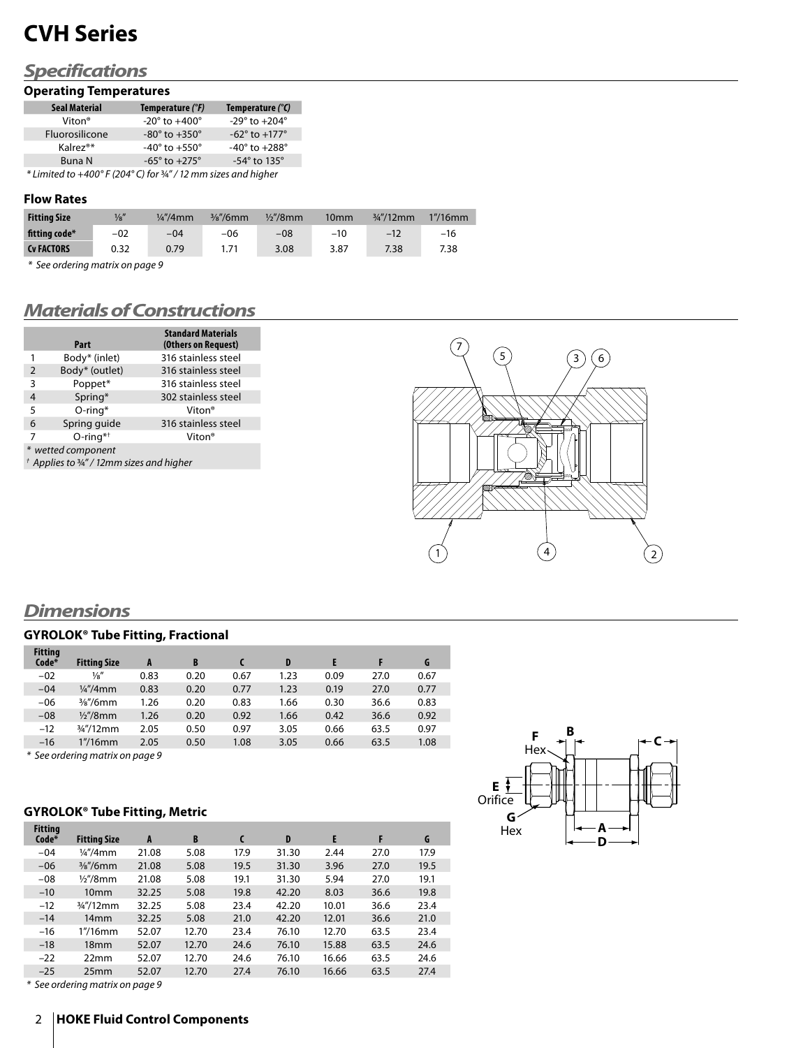# **CVH Series**

# *Specifications*

### **Operating Temperatures**

| <b>Seal Material</b>                                                                                                                                                                                                                                          | Temperature (°F)                  | Temperature $(^{\circ}C)$       |
|---------------------------------------------------------------------------------------------------------------------------------------------------------------------------------------------------------------------------------------------------------------|-----------------------------------|---------------------------------|
| Viton <sup>®</sup>                                                                                                                                                                                                                                            | $-20^{\circ}$ to $+400^{\circ}$   | $-29^{\circ}$ to $+204^{\circ}$ |
| Fluorosilicone                                                                                                                                                                                                                                                | $-80^\circ$ to $+350^\circ$       | $-62^{\circ}$ to $+177^{\circ}$ |
| Kalrez <sup>®*</sup>                                                                                                                                                                                                                                          | -40 $^{\circ}$ to +550 $^{\circ}$ | $-40^{\circ}$ to $+288^{\circ}$ |
| Buna N                                                                                                                                                                                                                                                        | $-65^{\circ}$ to $+275^{\circ}$   | $-54^\circ$ to 135 $^\circ$     |
| $x_1$ , $y_2$ , $y_3$ , $z_4$ , $z_5$ , $z_6$ , $z_7$ , $z_7$ , $z_7$ , $z_8$ , $z_7$ , $z_7$ , $z_8$ , $z_1$ , $z_1$ , $z_2$ , $z_3$ , $z_4$ , $z_5$ , $z_7$ , $z_8$ , $z_9$ , $z_1$ , $z_2$ , $z_3$ , $z_4$ , $z_5$ , $z_6$ , $z_7$ , $z_8$ , $z_9$ , $z_1$ |                                   |                                 |

\* Limited to +400° F (204° C) for ¾" / 12 mm sizes and higher

### **Flow Rates**

| <b>Fitting Size</b> | $\frac{1}{8}$ | $\frac{1}{4}$ "/4mm | $\frac{3}{8}$ "/6mm | $\frac{1}{2}$ /8mm | 10 <sub>mm</sub> | $\frac{3}{4}$ "/12mm | $1''/16$ mm |
|---------------------|---------------|---------------------|---------------------|--------------------|------------------|----------------------|-------------|
| fitting code*       | $-02$         | $-04$               | $-06$               | $-08$              | $-10$            | $-12$                | $-16$       |
| <b>CV FACTORS</b>   | 0.32          | 0.79                |                     | 3.08               | 3.87             | 7.38                 | 7.38        |

\* See ordering matrix on page 9

# *Materials of Constructions*

|                | Part                                                 | <b>Standard Materials</b><br>(Others on Request) |  |  |  |  |  |
|----------------|------------------------------------------------------|--------------------------------------------------|--|--|--|--|--|
| 1              | Body* (inlet)                                        | 316 stainless steel                              |  |  |  |  |  |
| $\overline{2}$ | Body* (outlet)                                       | 316 stainless steel                              |  |  |  |  |  |
| 3              | Poppet*                                              | 316 stainless steel                              |  |  |  |  |  |
| 4              | Spring*                                              | 302 stainless steel                              |  |  |  |  |  |
| 5              | $O$ -ring*                                           | Viton®                                           |  |  |  |  |  |
| 6              | Spring guide                                         | 316 stainless steel                              |  |  |  |  |  |
| 7              | $O$ -ring <sup>*†</sup>                              | Viton®                                           |  |  |  |  |  |
|                | * wetted component                                   |                                                  |  |  |  |  |  |
|                | $^{\dagger}$ Applies to 3/4" / 12mm sizes and higher |                                                  |  |  |  |  |  |

 $\left( 2\right)$  $(5)$   $(3)(6)$  $7^{\circ}$ 

## *Dimensions*

### **GYROLOK® Tube Fitting, Fractional**

| <b>Fitting</b><br>Code* | <b>Fitting Size</b>    | A    | B    |      | D    |      |      | G    |
|-------------------------|------------------------|------|------|------|------|------|------|------|
| $-02$                   | $\frac{1}{8}$          | 0.83 | 0.20 | 0.67 | 1.23 | 0.09 | 27.0 | 0.67 |
| $-04$                   | $\frac{1}{4}$ "/4mm    | 0.83 | 0.20 | 0.77 | 1.23 | 0.19 | 27.0 | 0.77 |
| $-06$                   | $\frac{3}{8}$ "/6mm    | 1.26 | 0.20 | 0.83 | 1.66 | 0.30 | 36.6 | 0.83 |
| $-08$                   | $\frac{1}{2}$ % / 8 mm | 1.26 | 0.20 | 0.92 | 1.66 | 0.42 | 36.6 | 0.92 |
| $-12$                   | $\frac{3}{4}$ "/12mm   | 2.05 | 0.50 | 0.97 | 3.05 | 0.66 | 63.5 | 0.97 |
| $-16$                   | $1''/16$ mm            | 2.05 | 0.50 | 1.08 | 3.05 | 0.66 | 63.5 | 1.08 |

\* See ordering matrix on page 9

### **GYROLOK® Tube Fitting, Metric**

| <b>Fitting</b><br>Code* | <b>Fitting Size</b>  | A     | B     | C    | D     | E     | F    | G    |
|-------------------------|----------------------|-------|-------|------|-------|-------|------|------|
| $-04$                   | $\frac{1}{4}$ /4mm   | 21.08 | 5.08  | 17.9 | 31.30 | 2.44  | 27.0 | 17.9 |
| $-06$                   | $\frac{3}{8}$ "/6mm  | 21.08 | 5.08  | 19.5 | 31.30 | 3.96  | 27.0 | 19.5 |
| $-08$                   | $\frac{1}{2}$ /8mm   | 21.08 | 5.08  | 19.1 | 31.30 | 5.94  | 27.0 | 19.1 |
| $-10$                   | 10 <sub>mm</sub>     | 32.25 | 5.08  | 19.8 | 42.20 | 8.03  | 36.6 | 19.8 |
| $-12$                   | $\frac{3}{4}$ "/12mm | 32.25 | 5.08  | 23.4 | 42.20 | 10.01 | 36.6 | 23.4 |
| $-14$                   | 14 <sub>mm</sub>     | 32.25 | 5.08  | 21.0 | 42.20 | 12.01 | 36.6 | 21.0 |
| $-16$                   | $1''/16$ mm          | 52.07 | 12.70 | 23.4 | 76.10 | 12.70 | 63.5 | 23.4 |
| $-18$                   | 18 <sub>mm</sub>     | 52.07 | 12.70 | 24.6 | 76.10 | 15.88 | 63.5 | 24.6 |
| $-22$                   | 22mm                 | 52.07 | 12.70 | 24.6 | 76.10 | 16.66 | 63.5 | 24.6 |
| $-25$                   | 25 <sub>mm</sub>     | 52.07 | 12.70 | 27.4 | 76.10 | 16.66 | 63.5 | 27.4 |



### 2 **HOKE Fluid Control Components**



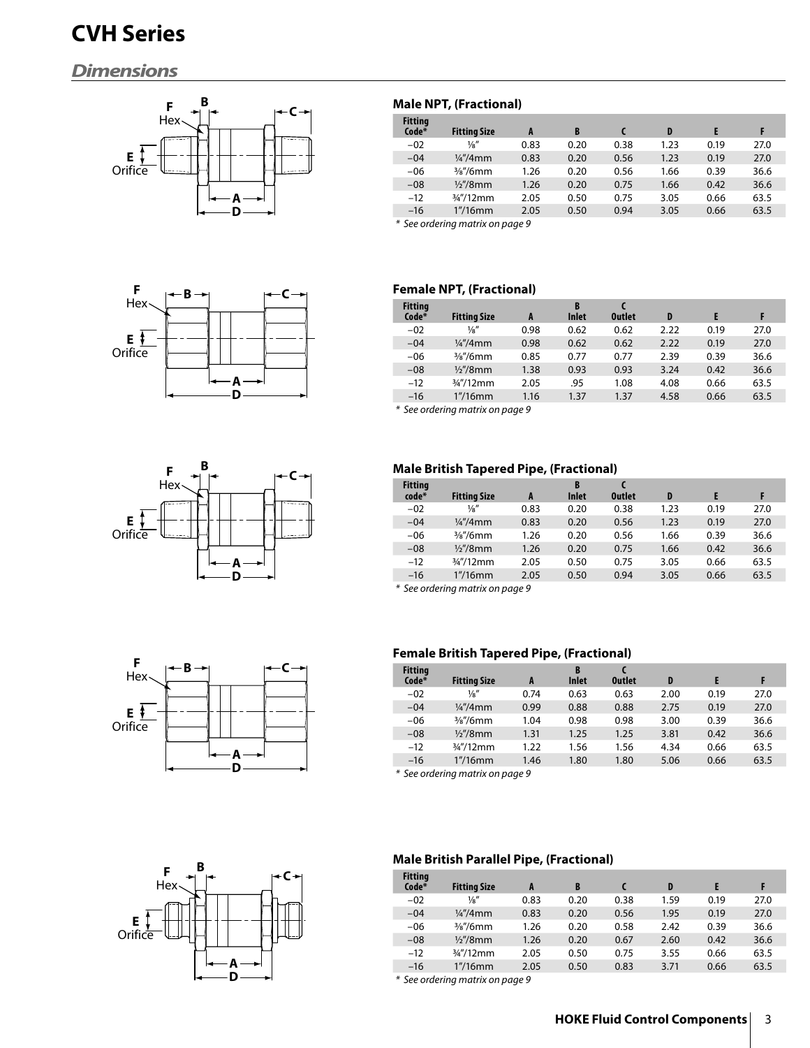# **CVH Series**

# *Dimensions*











### **Male NPT, (Fractional)**

| <b>Fitting</b><br>Code* | <b>Fitting Size</b>  | A    | B    |      | D    | E    | F    |
|-------------------------|----------------------|------|------|------|------|------|------|
| $-02$                   | $\frac{1}{8}$        | 0.83 | 0.20 | 0.38 | 1.23 | 0.19 | 27.0 |
| $-04$                   | $\frac{1}{4}$ /4mm   | 0.83 | 0.20 | 0.56 | 1.23 | 0.19 | 27.0 |
| $-06$                   | $\frac{3}{8}$ "/6mm  | 1.26 | 0.20 | 0.56 | 1.66 | 0.39 | 36.6 |
| $-08$                   | $\frac{1}{2}$ /8mm   | 1.26 | 0.20 | 0.75 | 1.66 | 0.42 | 36.6 |
| $-12$                   | $\frac{3}{4}$ "/12mm | 2.05 | 0.50 | 0.75 | 3.05 | 0.66 | 63.5 |
| $-16$                   | $1''/16$ mm          | 2.05 | 0.50 | 0.94 | 3.05 | 0.66 | 63.5 |
|                         |                      |      |      |      |      |      |      |

\* See ordering matrix on page 9

### **Female NPT, (Fractional)**

| <b>Fitting</b><br>Code* | <b>Fitting Size</b>  | A    | B<br><b>Inlet</b> | <b>Outlet</b> | D    | Е    |      |
|-------------------------|----------------------|------|-------------------|---------------|------|------|------|
| $-02$                   | $\frac{1}{8}$        | 0.98 | 0.62              | 0.62          | 2.22 | 0.19 | 27.0 |
| $-04$                   | $\frac{1}{4}$ /4mm   | 0.98 | 0.62              | 0.62          | 2.22 | 0.19 | 27.0 |
| $-06$                   | $\frac{3}{8}$ "/6mm  | 0.85 | 0.77              | 0.77          | 2.39 | 0.39 | 36.6 |
| $-08$                   | $\frac{1}{2}$ /8mm   | 1.38 | 0.93              | 0.93          | 3.24 | 0.42 | 36.6 |
| $-12$                   | $\frac{3}{4}$ "/12mm | 2.05 | .95               | 1.08          | 4.08 | 0.66 | 63.5 |
| $-16$                   | $1''/16$ mm          | 1.16 | 1.37              | 1.37          | 4.58 | 0.66 | 63.5 |
|                         |                      |      |                   |               |      |      |      |

\* See ordering matrix on page 9

### **Male British Tapered Pipe, (Fractional)**

| <b>Fitting</b><br>code* | <b>Fitting Size</b>  | A    | B<br><b>Inlet</b> | <b>Outlet</b> | D    | E    |      |
|-------------------------|----------------------|------|-------------------|---------------|------|------|------|
| $-02$                   | $\frac{1}{8}$        | 0.83 | 0.20              | 0.38          | 1.23 | 0.19 | 27.0 |
| $-04$                   | $\frac{1}{4}$ "/4mm  | 0.83 | 0.20              | 0.56          | 1.23 | 0.19 | 27.0 |
| $-06$                   | $\frac{3}{8}$ "/6mm  | 1.26 | 0.20              | 0.56          | 1.66 | 0.39 | 36.6 |
| $-08$                   | $\frac{1}{2}$ /8mm   | 1.26 | 0.20              | 0.75          | 1.66 | 0.42 | 36.6 |
| $-12$                   | $\frac{3}{4}$ "/12mm | 2.05 | 0.50              | 0.75          | 3.05 | 0.66 | 63.5 |
| $-16$                   | $1''/16$ mm          | 2.05 | 0.50              | 0.94          | 3.05 | 0.66 | 63.5 |

\* See ordering matrix on page 9

### **Female British Tapered Pipe, (Fractional)**

| <b>Fitting</b><br>Code* | <b>Fitting Size</b>  | A      | B<br><b>Inlet</b> | <b>Outlet</b> | D    | Е    |      |
|-------------------------|----------------------|--------|-------------------|---------------|------|------|------|
| $-02$                   | $\frac{1}{8}$        | 0.74   | 0.63              | 0.63          | 2.00 | 0.19 | 27.0 |
| $-04$                   | $\frac{1}{4}$ /4mm   | 0.99   | 0.88              | 0.88          | 2.75 | 0.19 | 27.0 |
| $-06$                   | $\frac{3}{8}$ "/6mm  | 1.04   | 0.98              | 0.98          | 3.00 | 0.39 | 36.6 |
| $-08$                   | $\frac{1}{2}$ "/8mm  | 1.31   | 1.25              | 1.25          | 3.81 | 0.42 | 36.6 |
| $-12$                   | $\frac{3}{4}$ "/12mm | 1.22   | 1.56              | 1.56          | 4.34 | 0.66 | 63.5 |
| $-16$                   | $1''/16$ mm          | 1.46   | 1.80              | 1.80          | 5.06 | 0.66 | 63.5 |
| $\mathbf{v}$            | . .                  | $\sim$ |                   |               |      |      |      |

\* See ordering matrix on page 9

### **Male British Parallel Pipe, (Fractional)**

| <b>Fitting</b><br>Code* | <b>Fitting Size</b>  | A    | B    |      | D    |      |      |
|-------------------------|----------------------|------|------|------|------|------|------|
| $-02$                   | $\frac{1}{8}$        | 0.83 | 0.20 | 0.38 | 1.59 | 0.19 | 27.0 |
| $-04$                   | $\frac{1}{4}$ /4mm   | 0.83 | 0.20 | 0.56 | 1.95 | 0.19 | 27.0 |
| $-06$                   | $\frac{3}{8}$ "/6mm  | 1.26 | 0.20 | 0.58 | 2.42 | 0.39 | 36.6 |
| $-08$                   | $\frac{1}{2}$ /8mm   | 1.26 | 0.20 | 0.67 | 2.60 | 0.42 | 36.6 |
| $-12$                   | $\frac{3}{4}$ "/12mm | 2.05 | 0.50 | 0.75 | 3.55 | 0.66 | 63.5 |
| $-16$                   | $1''/16$ mm          | 2.05 | 0.50 | 0.83 | 3.71 | 0.66 | 63.5 |

\* See ordering matrix on page 9